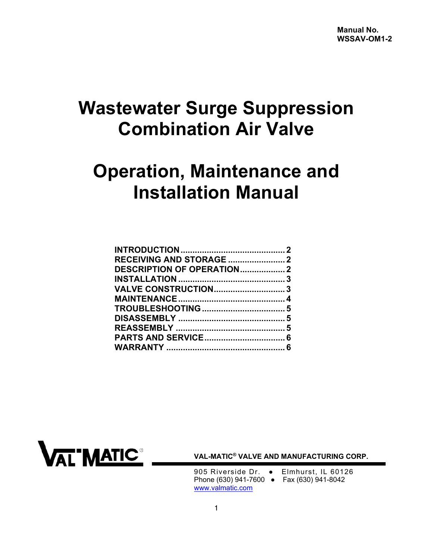# **Wastewater Surge Suppression Combination Air Valve**

# **Operation, Maintenance and Installation Manual**

| RECEIVING AND STORAGE  2         |  |
|----------------------------------|--|
| <b>DESCRIPTION OF OPERATION2</b> |  |
|                                  |  |
| <b>VALVE CONSTRUCTION3</b>       |  |
|                                  |  |
|                                  |  |
|                                  |  |
|                                  |  |
|                                  |  |
|                                  |  |
|                                  |  |



 **VAL-MATIC® VALVE AND MANUFACTURING CORP.** 

905 Riverside Dr. • Elmhurst, IL 60126 Phone (630) 941-7600 ● Fax (630) 941-8042 www.valmatic.com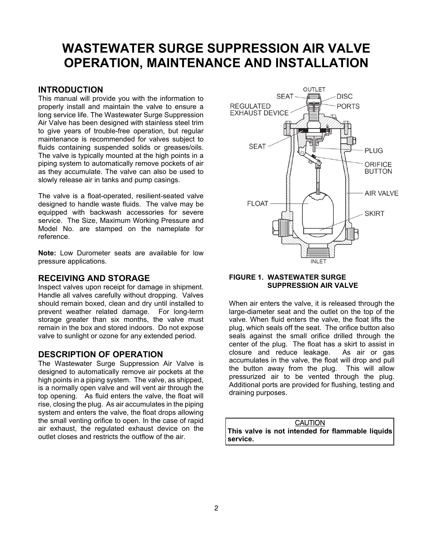# <span id="page-1-0"></span>**WASTEWATER SURGE SUPPRESSION AIR VALVE OPERATION, MAINTENANCE AND INSTALLATION**

# **INTRODUCTION**

This manual will provide you with the information to properly install and maintain the valve to ensure a long service life. The Wastewater Surge Suppression Air Valve has been designed with stainless steel trim to give years of trouble-free operation, but regular maintenance is recommended for valves subject to fluids containing suspended solids or greases/oils. The valve is typically mounted at the high points in a piping system to automatically remove pockets of air as they accumulate. The valve can also be used to slowly release air in tanks and pump casings.

The valve is a float-operated, resilient-seated valve designed to handle waste fluids. The valve may be equipped with backwash accessories for severe service. The Size, Maximum Working Pressure and Model No. are stamped on the nameplate for reference.

**Note:** Low Durometer seats are available for low pressure applications.

#### **RECEIVING AND STORAGE**

Inspect valves upon receipt for damage in shipment. Handle all valves carefully without dropping. Valves should remain boxed, clean and dry until installed to prevent weather related damage. For long-term storage greater than six months, the valve must remain in the box and stored indoors. Do not expose valve to sunlight or ozone for any extended period.

# **DESCRIPTION OF OPERATION**

The Wastewater Surge Suppression Air Valve is designed to automatically remove air pockets at the high points in a piping system. The valve, as shipped, is a normally open valve and will vent air through the top opening. As fluid enters the valve, the float will rise, closing the plug. As air accumulates in the piping system and enters the valve, the float drops allowing the small venting orifice to open. In the case of rapid air exhaust, the regulated exhaust device on the outlet closes and restricts the outflow of the air.



#### **FIGURE 1. WASTEWATER SURGE SUPPRESSION AIR VALVE**

When air enters the valve, it is released through the large-diameter seat and the outlet on the top of the valve. When fluid enters the valve, the float lifts the plug, which seals off the seat. The orifice button also seals against the small orifice drilled through the center of the plug. The float has a skirt to assist in closure and reduce leakage. As air or gas accumulates in the valve, the float will drop and pull the button away from the plug. This will allow pressurized air to be vented through the plug. Additional ports are provided for flushing, testing and draining purposes.

| <b>CAUTION</b>                                   |
|--------------------------------------------------|
| This valve is not intended for flammable liquids |
| service.                                         |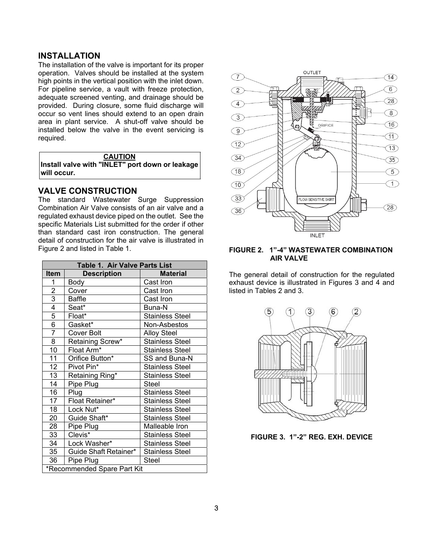# <span id="page-2-0"></span>**INSTALLATION**

The installation of the valve is important for its proper operation. Valves should be installed at the system high points in the vertical position with the inlet down. For pipeline service, a vault with freeze protection, adequate screened venting, and drainage should be provided. During closure, some fluid discharge will occur so vent lines should extend to an open drain area in plant service. A shut-off valve should be installed below the valve in the event servicing is required.

**CAUTION** 

**Install valve with "INLET" port down or leakage will occur.** 

# **VALVE CONSTRUCTION**

The standard Wastewater Surge Suppression Combination Air Valve consists of an air valve and a regulated exhaust device piped on the outlet. See the specific Materials List submitted for the order if other than standard cast iron construction. The general detail of construction for the air valve is illustrated in Figure 2 and listed in Table 1.

| Table 1. Air Valve Parts List |                       |                        |  |
|-------------------------------|-----------------------|------------------------|--|
| <b>Item</b>                   | <b>Description</b>    | <b>Material</b>        |  |
| 1                             | Body                  | Cast Iron              |  |
| $\overline{2}$                | Cover                 | Cast Iron              |  |
| $\overline{3}$                | Baffle                | Cast Iron              |  |
| 4                             | Seat*                 | Buna-N                 |  |
| 5                             | Float*                | Stainless Steel        |  |
| 6                             | Gasket*               | Non-Asbestos           |  |
| 7                             | Cover Bolt            | <b>Alloy Steel</b>     |  |
| 8                             | Retaining Screw*      | <b>Stainless Steel</b> |  |
| 10                            | Float Arm*            | Stainless Steel        |  |
| 11                            | Orifice Button*       | SS and Buna-N          |  |
| 12                            | Pivot Pin*            | Stainless Steel        |  |
| 13                            | Retaining Ring*       | Stainless Steel        |  |
| 14                            | Pipe Plug             | Steel                  |  |
| 16                            | Plug                  | Stainless Steel        |  |
| 17                            | Float Retainer*       | Stainless Steel        |  |
| 18                            | Lock Nut*             | Stainless Steel        |  |
| 20                            | Guide Shaft*          | Stainless Steel        |  |
| 28                            | Pipe Plug             | Malleable Iron         |  |
| 33                            | Clevis*               | Stainless Steel        |  |
| 34                            | Lock Washer*          | Stainless Steel        |  |
| 35                            | Guide Shaft Retainer* | Stainless Steel        |  |
| 36                            | Pipe Plug             | Steel                  |  |
| *Recommended Spare Part Kit   |                       |                        |  |



#### **FIGURE 2. 1"-4" WASTEWATER COMBINATION AIR VALVE**

The general detail of construction for the regulated exhaust device is illustrated in Figures 3 and 4 and listed in Tables 2 and 3.



**FIGURE 3. 1"-2" REG. EXH. DEVICE**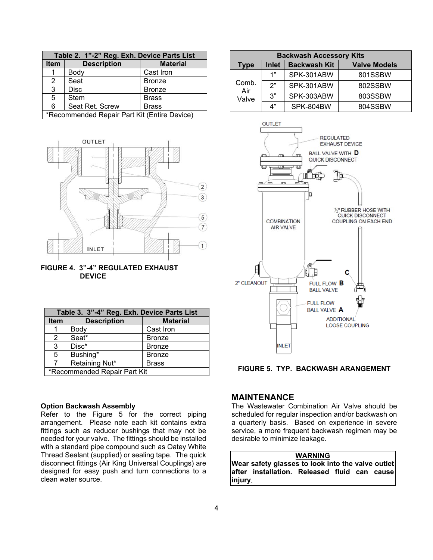<span id="page-3-0"></span>

| Table 2. 1"-2" Reg. Exh. Device Parts List   |                    |                 |
|----------------------------------------------|--------------------|-----------------|
| <b>Item</b>                                  | <b>Description</b> | <b>Material</b> |
|                                              | Body               | Cast Iron       |
| 2                                            | Seat               | <b>Bronze</b>   |
| $\overline{3}$                               | <b>Disc</b>        | <b>Bronze</b>   |
| 5                                            | <b>Stem</b>        | <b>Brass</b>    |
| 6                                            | Seat Ret. Screw    | <b>Brass</b>    |
| *Recommended Repair Part Kit (Entire Device) |                    |                 |





| Table 3. 3"-4" Reg. Exh. Device Parts List |                    |                 |
|--------------------------------------------|--------------------|-----------------|
| <b>Item</b>                                | <b>Description</b> | <b>Material</b> |
|                                            | Body               | Cast Iron       |
| 2                                          | Seat*              | <b>Bronze</b>   |
| 3                                          | Disc*              | <b>Bronze</b>   |
| 5                                          | Bushing*           | <b>Bronze</b>   |
| 7                                          | Retaining Nut*     | <b>Brass</b>    |
| *Recommended Repair Part Kit               |                    |                 |

|  | <b>Option Backwash Assembly</b> |  |
|--|---------------------------------|--|
|--|---------------------------------|--|

Refer to the Figure 5 for the correct piping arrangement. Please note each kit contains extra fittings such as reducer bushings that may not be needed for your valve. The fittings should be installed with a standard pipe compound such as Oatey White Thread Sealant (supplied) or sealing tape. The quick disconnect fittings (Air King Universal Couplings) are designed for easy push and turn connections to a clean water source.

| <b>Backwash Accessory Kits</b>                     |    |                     |         |
|----------------------------------------------------|----|---------------------|---------|
| <b>Backwash Kit</b><br><b>Inlet</b><br><b>Type</b> |    | <b>Valve Models</b> |         |
| Comb.<br>Air<br>Valve                              | 1" | SPK-301ABW          | 801SSBW |
|                                                    | 2" | SPK-301ABW          | 802SSBW |
|                                                    | 3" | SPK-303ABW          | 803SSBW |
|                                                    | Δ" | SPK-804BW           | 804SSBW |



#### **FIGURE 5. TYP. BACKWASH ARANGEMENT**

## **MAINTENANCE**

The Wastewater Combination Air Valve should be scheduled for regular inspection and/or backwash on a quarterly basis. Based on experience in severe service, a more frequent backwash regimen may be desirable to minimize leakage.

#### **WARNING**

**Wear safety glasses to look into the valve outlet after installation. Released fluid can cause injury**.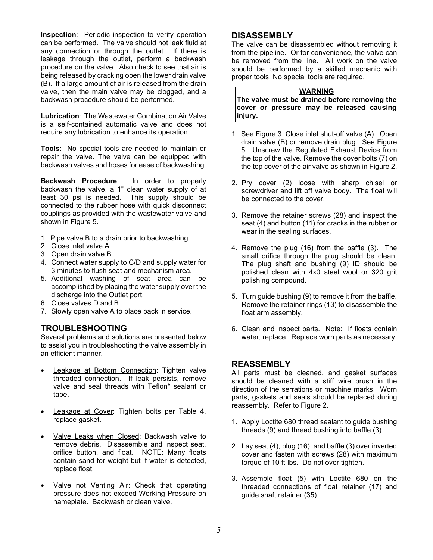<span id="page-4-0"></span>**Inspection**: Periodic inspection to verify operation can be performed. The valve should not leak fluid at any connection or through the outlet. If there is leakage through the outlet, perform a backwash procedure on the valve. Also check to see that air is being released by cracking open the lower drain valve (B). If a large amount of air is released from the drain valve, then the main valve may be clogged, and a backwash procedure should be performed.

**Lubrication**: The Wastewater Combination Air Valve is a self-contained automatic valve and does not require any lubrication to enhance its operation.

**Tools**: No special tools are needed to maintain or repair the valve. The valve can be equipped with backwash valves and hoses for ease of backwashing.

**Backwash Procedure**: In order to properly backwash the valve, a 1" clean water supply of at least 30 psi is needed. This supply should be connected to the rubber hose with quick disconnect couplings as provided with the wastewater valve and shown in Figure 5.

- 1. Pipe valve B to a drain prior to backwashing.
- 2. Close inlet valve A.
- 3. Open drain valve B.
- 4. Connect water supply to C/D and supply water for 3 minutes to flush seat and mechanism area.
- 5. Additional washing of seat area can be accomplished by placing the water supply over the discharge into the Outlet port.
- 6. Close valves D and B.
- 7. Slowly open valve A to place back in service.

# **TROUBLESHOOTING**

Several problems and solutions are presented below to assist you in troubleshooting the valve assembly in an efficient manner.

- Leakage at Bottom Connection: Tighten valve threaded connection. If leak persists, remove valve and seal threads with Teflon\* sealant or tape.
- Leakage at Cover: Tighten bolts per Table 4, replace gasket.
- Valve Leaks when Closed: Backwash valve to remove debris. Disassemble and inspect seat, orifice button, and float. NOTE: Many floats contain sand for weight but if water is detected, replace float.
- Valve not Venting Air: Check that operating pressure does not exceed Working Pressure on nameplate. Backwash or clean valve.

# **DISASSEMBLY**

The valve can be disassembled without removing it from the pipeline. Or for convenience, the valve can be removed from the line. All work on the valve should be performed by a skilled mechanic with proper tools. No special tools are required.

### **WARNING**

**The valve must be drained before removing the cover or pressure may be released causing injury.** 

- 1. See Figure 3. Close inlet shut-off valve (A). Open drain valve (B) or remove drain plug. See Figure 5. Unscrew the Regulated Exhaust Device from the top of the valve. Remove the cover bolts (7) on the top cover of the air valve as shown in Figure 2.
- 2. Pry cover (2) loose with sharp chisel or screwdriver and lift off valve body. The float will be connected to the cover.
- 3. Remove the retainer screws (28) and inspect the seat (4) and button (11) for cracks in the rubber or wear in the sealing surfaces.
- 4. Remove the plug (16) from the baffle (3). The small orifice through the plug should be clean. The plug shaft and bushing (9) ID should be polished clean with 4x0 steel wool or 320 grit polishing compound.
- 5. Turn guide bushing (9) to remove it from the baffle. Remove the retainer rings (13) to disassemble the float arm assembly.
- 6. Clean and inspect parts. Note: If floats contain water, replace. Replace worn parts as necessary.

#### **REASSEMBLY**

All parts must be cleaned, and gasket surfaces should be cleaned with a stiff wire brush in the direction of the serrations or machine marks. Worn parts, gaskets and seals should be replaced during reassembly. Refer to Figure 2.

- 1. Apply Loctite 680 thread sealant to guide bushing threads (9) and thread bushing into baffle (3).
- 2. Lay seat (4), plug (16), and baffle (3) over inverted cover and fasten with screws (28) with maximum torque of 10 ft-lbs. Do not over tighten.
- 3. Assemble float (5) with Loctite 680 on the threaded connections of float retainer (17) and guide shaft retainer (35).